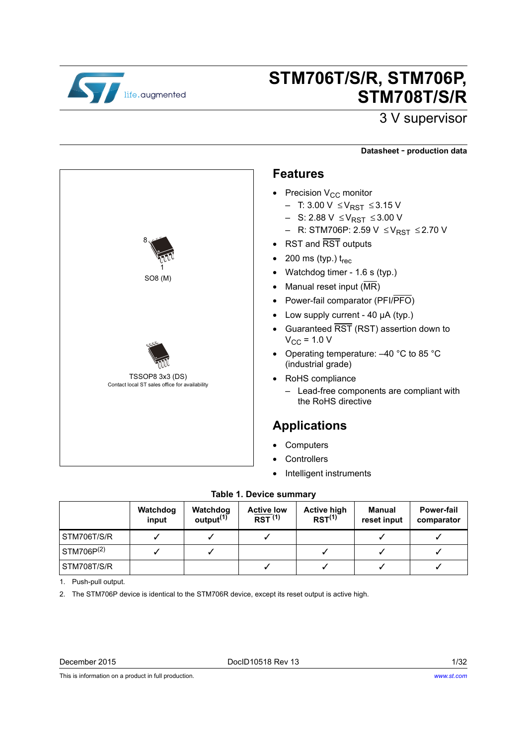

TSSOP8 3x3 (DS)

Contact local ST sales office for availability

8

1 SO8 (M)

# **STM706T/S/R, STM706P, STM708T/S/R**

## 3 V supervisor

#### **Datasheet** - **production data**

#### **Features**

- Precision  $V_{CC}$  monitor
	- T: 3.00 V ≤ V<sub>RST</sub> ≤ 3.15 V
	- S: 2.88 V ≤ V<sub>RST</sub> ≤ 3.00 V
	- R: STM706P: 2.59 V ≤ V<sub>RST</sub> ≤ 2.70 V
- RST and RST outputs
- 200 ms (typ.)  $t_{rec}$
- Watchdog timer 1.6 s (typ.)
- Manual reset input  $(MR)$
- Power-fail comparator (PFI/PFO)
- Low supply current 40 µA (typ.)
- Guaranteed RST (RST) assertion down to  $V_{\text{CC}}$  = 1.0 V
- Operating temperature: –40 °C to 85 °C (industrial grade)
- RoHS compliance
	- Lead-free components are compliant with the RoHS directive

### **Applications**

- **Computers**
- **Controllers**
- Intelligent instruments

#### **Table 1. Device summary**

<span id="page-0-1"></span>

|             | Watchdog<br>input | Watchdog<br>output <sup>(1)</sup> | <b>Active low</b><br>RST <sup>(1)</sup> | <b>Active high</b><br>$RST^{(1)}$ | Manual<br>reset input | <b>Power-fail</b><br>comparator |
|-------------|-------------------|-----------------------------------|-----------------------------------------|-----------------------------------|-----------------------|---------------------------------|
| STM706T/S/R |                   |                                   |                                         |                                   |                       |                                 |
| STM706P(2)  |                   |                                   |                                         |                                   |                       |                                 |
| STM708T/S/R |                   |                                   |                                         |                                   |                       |                                 |

<span id="page-0-0"></span>1. Push-pull output.

2. The STM706P device is identical to the STM706R device, except its reset output is active high.

This is information on a product in full production.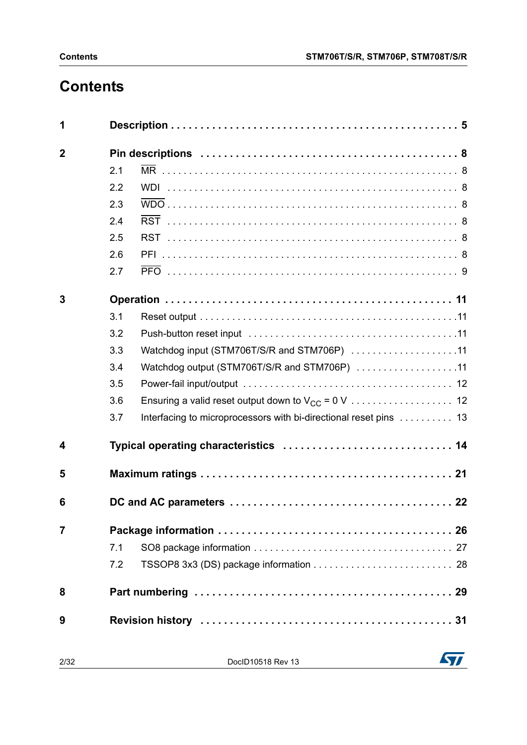# **Contents**

| 1                       |     |                                                                   |
|-------------------------|-----|-------------------------------------------------------------------|
| $\mathbf 2$             |     |                                                                   |
|                         | 2.1 |                                                                   |
|                         | 2.2 |                                                                   |
|                         | 2.3 |                                                                   |
|                         | 2.4 |                                                                   |
|                         | 2.5 |                                                                   |
|                         | 2.6 |                                                                   |
|                         | 2.7 |                                                                   |
| 3                       |     |                                                                   |
|                         | 3.1 |                                                                   |
|                         | 3.2 |                                                                   |
|                         | 3.3 | Watchdog input (STM706T/S/R and STM706P) 11                       |
|                         | 3.4 | Watchdog output (STM706T/S/R and STM706P) 11                      |
|                         | 3.5 |                                                                   |
|                         | 3.6 |                                                                   |
|                         | 3.7 | Interfacing to microprocessors with bi-directional reset pins  13 |
| $\overline{\mathbf{4}}$ |     | Typical operating characteristics  14                             |
| 5                       |     |                                                                   |
| 6                       |     |                                                                   |
| $\overline{7}$          |     |                                                                   |
|                         | 7.1 |                                                                   |
|                         | 7.2 |                                                                   |
| 8                       |     |                                                                   |
| 9                       |     |                                                                   |

2/32 DocID10518 Rev 13

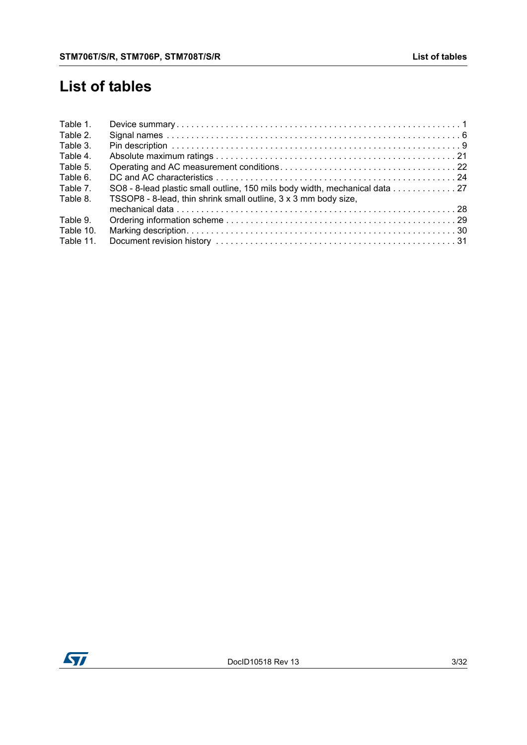## **List of tables**

| Table 1.  |                                                                             |
|-----------|-----------------------------------------------------------------------------|
| Table 2.  |                                                                             |
| Table 3.  |                                                                             |
| Table 4.  |                                                                             |
| Table 5.  |                                                                             |
| Table 6.  |                                                                             |
| Table 7.  | SO8 - 8-lead plastic small outline, 150 mils body width, mechanical data 27 |
| Table 8.  | TSSOP8 - 8-lead, thin shrink small outline, 3 x 3 mm body size,             |
|           |                                                                             |
| Table 9.  |                                                                             |
| Table 10. |                                                                             |
| Table 11. |                                                                             |

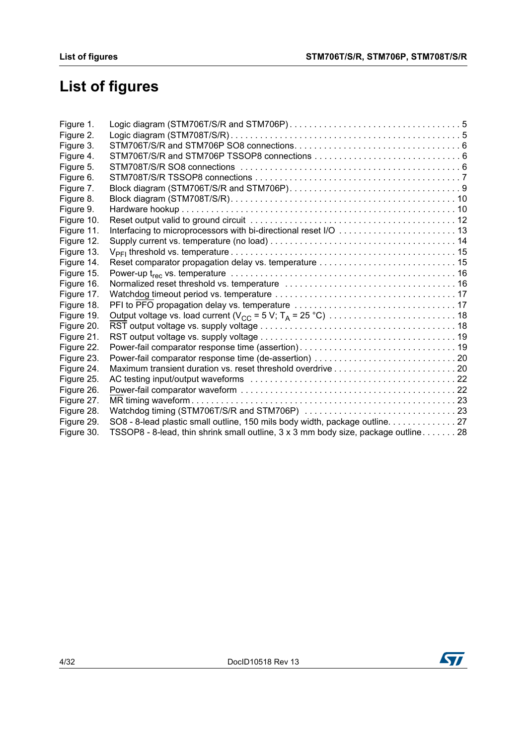# **List of figures**

| Figure 1.  |                                                                                    |  |
|------------|------------------------------------------------------------------------------------|--|
| Figure 2.  |                                                                                    |  |
| Figure 3.  |                                                                                    |  |
| Figure 4.  |                                                                                    |  |
| Figure 5.  |                                                                                    |  |
| Figure 6.  |                                                                                    |  |
| Figure 7.  |                                                                                    |  |
| Figure 8.  |                                                                                    |  |
| Figure 9.  |                                                                                    |  |
| Figure 10. |                                                                                    |  |
| Figure 11. |                                                                                    |  |
| Figure 12. |                                                                                    |  |
| Figure 13. |                                                                                    |  |
| Figure 14. |                                                                                    |  |
| Figure 15. |                                                                                    |  |
| Figure 16. |                                                                                    |  |
| Figure 17. |                                                                                    |  |
| Figure 18. |                                                                                    |  |
| Figure 19. |                                                                                    |  |
| Figure 20. |                                                                                    |  |
| Figure 21. |                                                                                    |  |
| Figure 22. |                                                                                    |  |
| Figure 23. |                                                                                    |  |
| Figure 24. |                                                                                    |  |
| Figure 25. |                                                                                    |  |
| Figure 26. |                                                                                    |  |
| Figure 27. |                                                                                    |  |
| Figure 28. | Watchdog timing (STM706T/S/R and STM706P) 23                                       |  |
| Figure 29. | SO8 - 8-lead plastic small outline, 150 mils body width, package outline. 27       |  |
| Figure 30. | TSSOP8 - 8-lead, thin shrink small outline, 3 x 3 mm body size, package outline 28 |  |

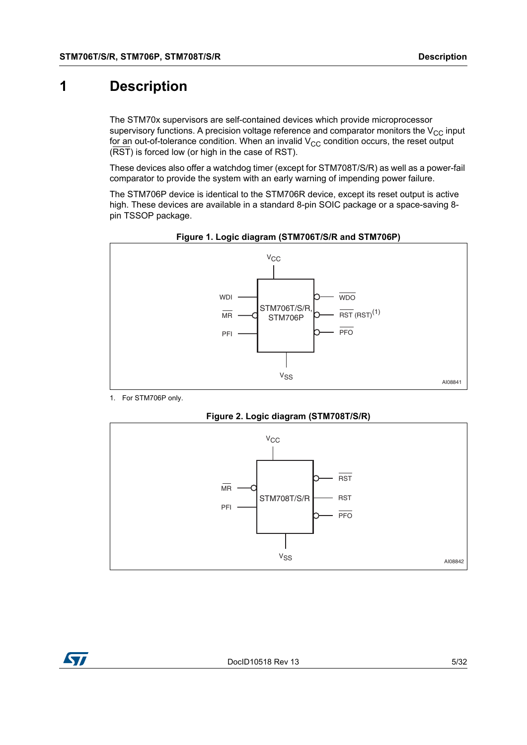### <span id="page-4-0"></span>**1 Description**

The STM70x supervisors are self-contained devices which provide microprocessor supervisory functions. A precision voltage reference and comparator monitors the  $V_{CC}$  input for an out-of-tolerance condition. When an invalid  $V_{CC}$  condition occurs, the reset output (RST) is forced low (or high in the case of RST).

These devices also offer a watchdog timer (except for STM708T/S/R) as well as a power-fail comparator to provide the system with an early warning of impending power failure.

The STM706P device is identical to the STM706R device, except its reset output is active high. These devices are available in a standard 8-pin SOIC package or a space-saving 8 pin TSSOP package.

<span id="page-4-1"></span>



1. For STM706P only.



<span id="page-4-2"></span>

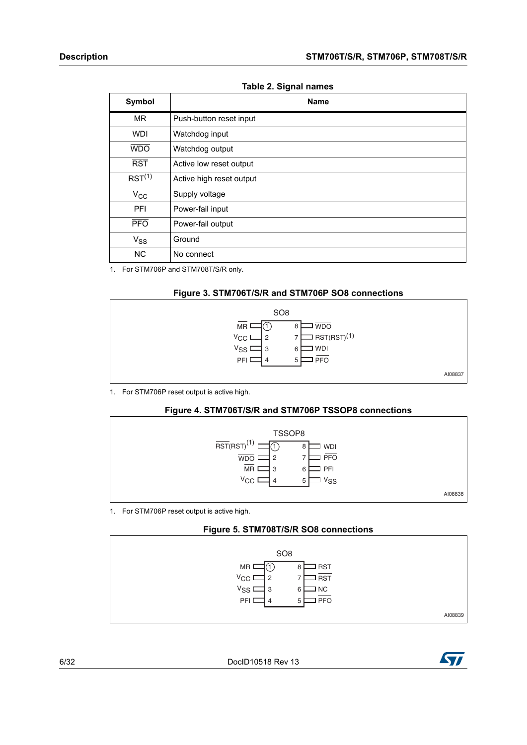#### **Table 2. Signal names**

<span id="page-5-0"></span>

| Symbol                 | <b>Name</b>              |
|------------------------|--------------------------|
| $\overline{\text{MR}}$ | Push-button reset input  |
| <b>WDI</b>             | Watchdog input           |
| <b>WDO</b>             | Watchdog output          |
| $\overline{RST}$       | Active low reset output  |
| RST <sup>(1)</sup>     | Active high reset output |
| $V_{\rm CC}$           | Supply voltage           |
| PFI                    | Power-fail input         |
| $\overline{PFO}$       | Power-fail output        |
| $V_{SS}$               | Ground                   |
| <b>NC</b>              | No connect               |

1. For STM706P and STM708T/S/R only.

#### **Figure 3. STM706T/S/R and STM706P SO8 connections**

<span id="page-5-1"></span>

1. For STM706P reset output is active high.

#### **Figure 4. STM706T/S/R and STM706P TSSOP8 connections**

<span id="page-5-2"></span>

1. For STM706P reset output is active high.

#### **Figure 5. STM708T/S/R SO8 connections**

<span id="page-5-3"></span>

6/32 DocID10518 Rev 13

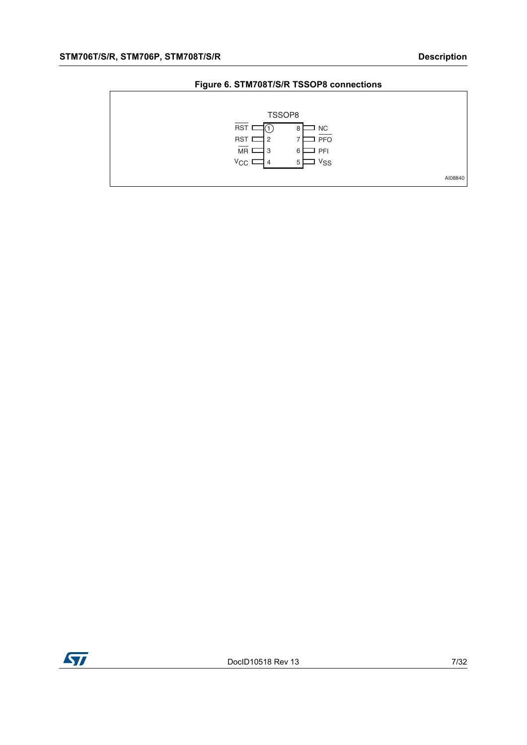#### **Figure 6. STM708T/S/R TSSOP8 connections**

<span id="page-6-0"></span>

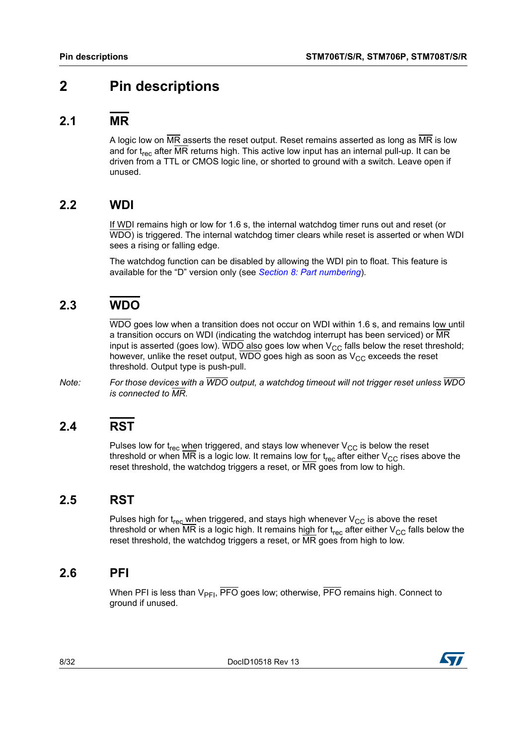### <span id="page-7-0"></span>**2 Pin descriptions**

#### <span id="page-7-1"></span>**2.1 MR**

A logic low on  $\overline{\text{MR}}$  asserts the reset output. Reset remains asserted as long as  $\overline{\text{MR}}$  is low and for  $t_{rec}$  after MR returns high. This active low input has an internal pull-up. It can be driven from a TTL or CMOS logic line, or shorted to ground with a switch. Leave open if unused.

### <span id="page-7-2"></span>**2.2 WDI**

If WDI remains high or low for 1.6 s, the internal watchdog timer runs out and reset (or WDO) is triggered. The internal watchdog timer clears while reset is asserted or when WDI sees a rising or falling edge.

The watchdog function can be disabled by allowing the WDI pin to float. This feature is available for the "D" version only (see *Section [8: Part numbering](#page-28-0)*).

### <span id="page-7-3"></span>**2.3 WDO**

WDO goes low when a transition does not occur on WDI within 1.6 s, and remains low until a transition occurs on WDI (indicating the watchdog interrupt has been serviced) or MR input is asserted (goes low). WDO also goes low when  $V_{CC}$  falls below the reset threshold; however, unlike the reset output, WDO goes high as soon as  $V_{CC}$  exceeds the reset threshold. Output type is push-pull.

*Note: For those devices with a WDO output, a watchdog timeout will not trigger reset unless WDO is connected to MR.*

### <span id="page-7-4"></span>**2.4 RST**

Pulses low for  $t_{rec}$  when triggered, and stays low whenever  $V_{CC}$  is below the reset threshold or when  $\overline{\text{MR}}$  is a logic low. It remains low for  $t_{rec}$  after either  $V_{CC}$  rises above the reset threshold, the watchdog triggers a reset, or MR goes from low to high.

### <span id="page-7-5"></span>**2.5 RST**

Pulses high for  $t_{rec}$  when triggered, and stays high whenever  $V_{CC}$  is above the reset threshold or when MR is a logic high. It remains high for  $t_{rec}$  after either  $V_{CC}$  falls below the reset threshold, the watchdog triggers a reset, or MR goes from high to low.

#### <span id="page-7-6"></span>**2.6 PFI**

When PFI is less than  $V_{\text{PEI}}$ , PFO goes low; otherwise, PFO remains high. Connect to ground if unused.



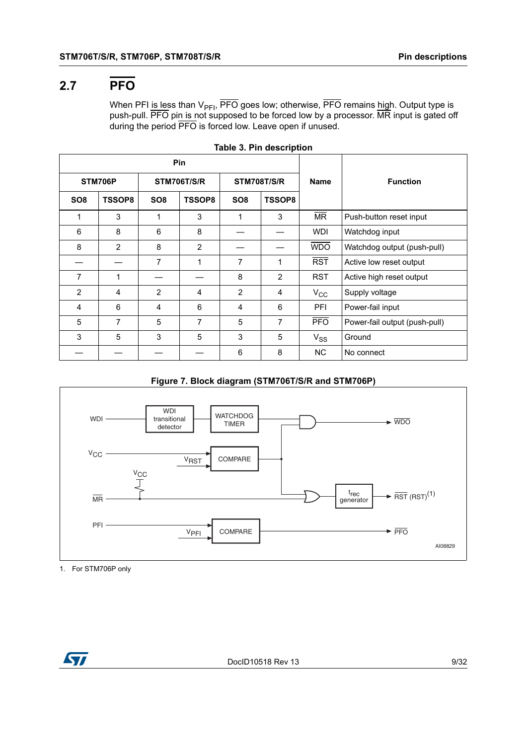### <span id="page-8-0"></span>**2.7 PFO**

When PFI <u>is le</u>ss than V<sub>PFI</sub>, PFO goes low; otherwise, PFO remains <u>hig</u>h. Output type is push-pull. PFO pin is not supposed to be forced low by a processor. MR input is gated off during the period PFO is forced low. Leave open if unused.

<span id="page-8-1"></span>

| Pin             |               |                 |                    |                    |                |              |                               |
|-----------------|---------------|-----------------|--------------------|--------------------|----------------|--------------|-------------------------------|
| STM706P         |               |                 | <b>STM706T/S/R</b> | <b>STM708T/S/R</b> |                | <b>Name</b>  | <b>Function</b>               |
| SO <sub>8</sub> | <b>TSSOP8</b> | SO <sub>8</sub> | <b>TSSOP8</b>      | SO <sub>8</sub>    | <b>TSSOP8</b>  |              |                               |
| 1               | 3             | 1               | 3                  | 1                  | 3              | <b>MR</b>    | Push-button reset input       |
| 6               | 8             | 6               | 8                  |                    |                | <b>WDI</b>   | Watchdog input                |
| 8               | 2             | 8               | 2                  |                    |                | <b>WDO</b>   | Watchdog output (push-pull)   |
|                 |               | 7               | 1                  | 7                  | 1              | <b>RST</b>   | Active low reset output       |
| $\overline{7}$  | 1             |                 |                    | 8                  | $\overline{2}$ | <b>RST</b>   | Active high reset output      |
| 2               | 4             | 2               | 4                  | 2                  | 4              | $V_{\rm CC}$ | Supply voltage                |
| 4               | 6             | 4               | 6                  | 4                  | 6              | PFI          | Power-fail input              |
| 5               | 7             | 5               | $\overline{7}$     | 5                  | 7              | <b>PFO</b>   | Power-fail output (push-pull) |
| 3               | 5             | 3               | 5                  | 3                  | 5              | $V_{SS}$     | Ground                        |
|                 |               |                 |                    | 6                  | 8              | NC.          | No connect                    |

|  | Table 3. Pin description |  |
|--|--------------------------|--|
|  |                          |  |

#### **Figure 7. Block diagram (STM706T/S/R and STM706P)**

<span id="page-8-2"></span>

1. For STM706P only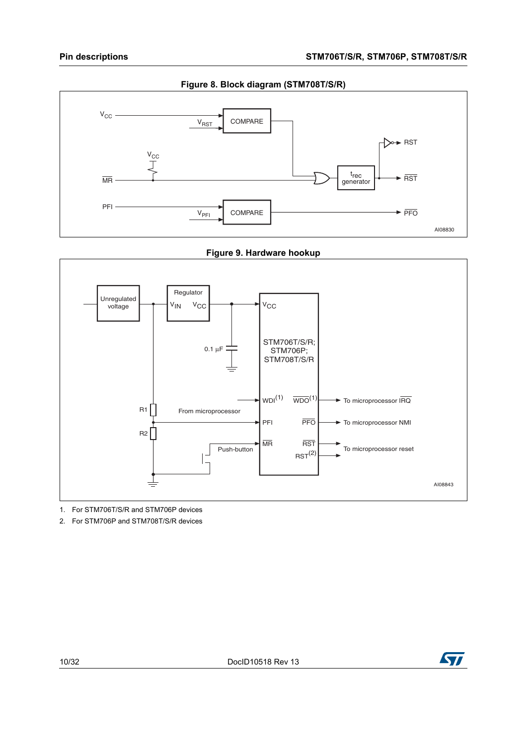<span id="page-9-0"></span>

**Figure 9. Hardware hookup**

<span id="page-9-1"></span>

1. For STM706T/S/R and STM706P devices

2. For STM706P and STM708T/S/R devices

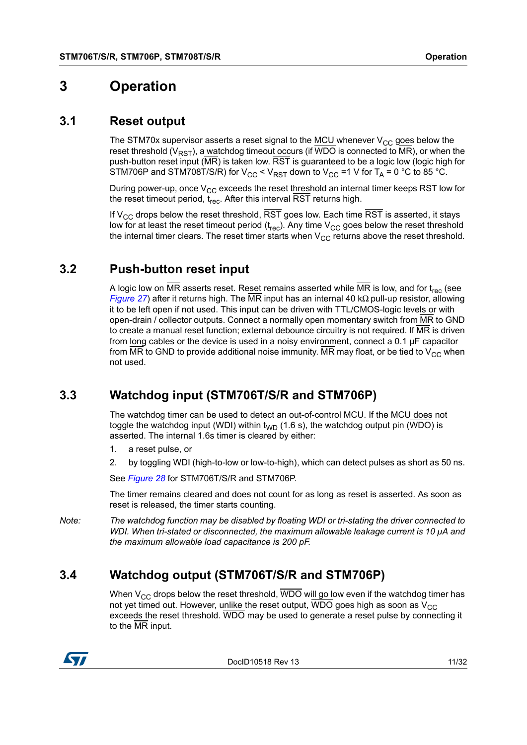### <span id="page-10-0"></span>**3 Operation**

#### <span id="page-10-1"></span>**3.1 Reset output**

The STM70x supervisor asserts a reset signal to the  $MCU$  whenever  $V_{CC}$  goes below the reset threshold ( $V_{RST}$ ), a watchdog timeout occurs (if WDO is connected to  $\overline{MR}$ ), or when the push-button reset input ( $\overline{\text{MR}}$ ) is taken low.  $\overline{\text{RST}}$  is guaranteed to be a logic low (logic high for STM706P and STM708T/S/R) for  $V_{CC}$  <  $V_{RST}$  down to  $V_{CC}$  =1 V for  $T_A$  = 0 °C to 85 °C.

During power-up, once  $V_{CC}$  exceeds the reset threshold an internal timer keeps RST low for the reset timeout period,  $t_{rec}$ . After this interval  $\overline{\text{RST}}$  returns high.

If  $V_{\text{CC}}$  drops below the reset threshold, RST goes low. Each time RST is asserted, it stays low for at least the reset timeout period  $(t_{rec})$ . Any time  $V_{CC}$  goes below the reset threshold the internal timer clears. The reset timer starts when  $V_{CC}$  returns above the reset threshold.

### <span id="page-10-2"></span>**3.2 Push-button reset input**

A logic low on  $\overline{MR}$  asserts reset. Reset remains asserted while  $\overline{MR}$  is low, and for t<sub>rec</sub> (see *[Figure](#page-22-0) 27*) after it returns high. The MR input has an internal 40 kΩ pull-up resistor, allowing it to be left open if not used. This input can be driven with TTL/CMOS-logic levels or with open-drain / collector outputs. Connect a normally open momentary switch from MR to GND to create a manual reset function; external debounce circuitry is not required. If MR is driven from long cables or the device is used in a noisy environment, connect a 0.1 µF capacitor from MR to GND to provide additional noise immunity. MR may float, or be tied to  $V_{CC}$  when not used.

### <span id="page-10-3"></span>**3.3 Watchdog input (STM706T/S/R and STM706P)**

The watchdog timer can be used to detect an out-of-control MCU. If the MCU does not toggle the watchdog input (WDI) within  $t_{WD}$  (1.6 s), the watchdog output pin (WDO) is asserted. The internal 1.6s timer is cleared by either:

- 1. a reset pulse, or
- 2. by toggling WDI (high-to-low or low-to-high), which can detect pulses as short as 50 ns.

See *[Figure](#page-22-1) 28* for STM706T/S/R and STM706P.

The timer remains cleared and does not count for as long as reset is asserted. As soon as reset is released, the timer starts counting.

*Note: The watchdog function may be disabled by floating WDI or tri-stating the driver connected to WDI. When tri-stated or disconnected, the maximum allowable leakage current is 10 µA and the maximum allowable load capacitance is 200 pF.*

### <span id="page-10-4"></span>**3.4 Watchdog output (STM706T/S/R and STM706P)**

When  $V_{CC}$  drops below the reset threshold,  $\overline{WDO}$  will go low even if the watchdog timer has not yet timed out. However, unlike the reset output,  $\overline{WDO}$  goes high as soon as  $V_{CC}$ exceeds the reset threshold. WDO may be used to generate a reset pulse by connecting it to the MR input.



DocID10518 Rev 13 11/32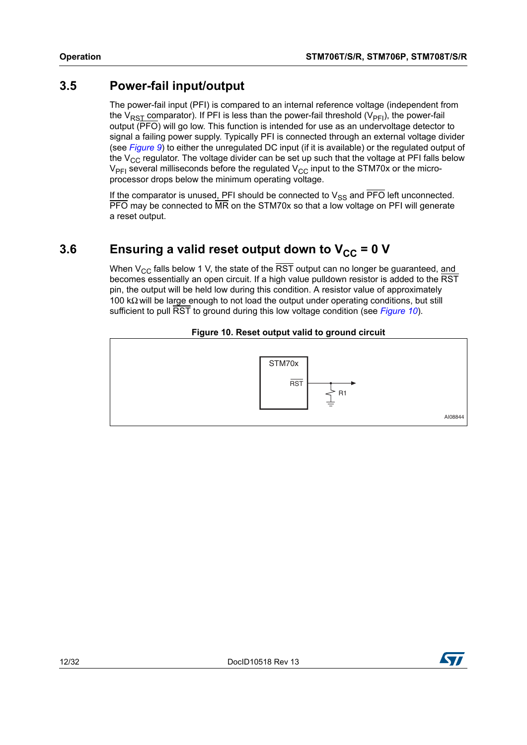### <span id="page-11-0"></span>**3.5 Power-fail input/output**

The power-fail input (PFI) is compared to an internal reference voltage (independent from the V<sub>RST</sub> comparator). If PFI is less than the power-fail threshold (V<sub>PFI</sub>), the power-fail output (PFO) will go low. This function is intended for use as an undervoltage detector to signal a failing power supply. Typically PFI is connected through an external voltage divider (see *[Figure](#page-9-1) 9*) to either the unregulated DC input (if it is available) or the regulated output of the  $V_{CC}$  regulator. The voltage divider can be set up such that the voltage at PFI falls below  $V_{\text{PFI}}$  several milliseconds before the regulated  $V_{\text{CC}}$  input to the STM70x or the microprocessor drops below the minimum operating voltage.

If the comparator is unused, PFI should be connected to  $V_{SS}$  and PFO left unconnected. PFO may be connected to MR on the STM70x so that a low voltage on PFI will generate a reset output.

### <span id="page-11-1"></span>3.6 **Ensuring a valid reset output down to V<sub>CC</sub> = 0 V**

When  $V_{CC}$  falls below 1 V, the state of the  $\overline{RST}$  output can no longer be guaranteed, and becomes essentially an open circuit. If a high value pulldown resistor is added to the RST pin, the output will be held low during this condition. A resistor value of approximately 100 kΩ will be large enough to not load the output under operating conditions, but still sufficient to pull RST to ground during this low voltage condition (see *[Figure](#page-11-2) 10*).

#### **Figure 10. Reset output valid to ground circuit**

<span id="page-11-2"></span>

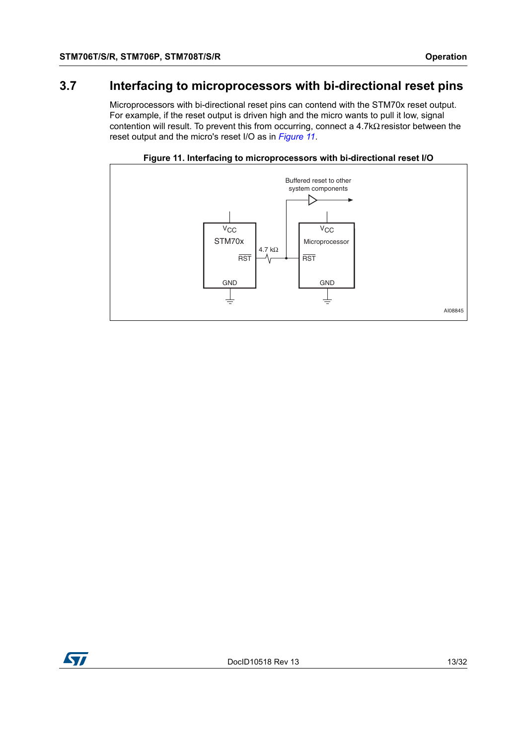### <span id="page-12-0"></span>**3.7 Interfacing to microprocessors with bi-directional reset pins**

Microprocessors with bi-directional reset pins can contend with the STM70x reset output. For example, if the reset output is driven high and the micro wants to pull it low, signal contention will result. To prevent this from occurring, connect a 4.7kΩ resistor between the reset output and the micro's reset I/O as in *[Figure](#page-12-1) 11*.

<span id="page-12-1"></span>

**Figure 11. Interfacing to microprocessors with bi-directional reset I/O**

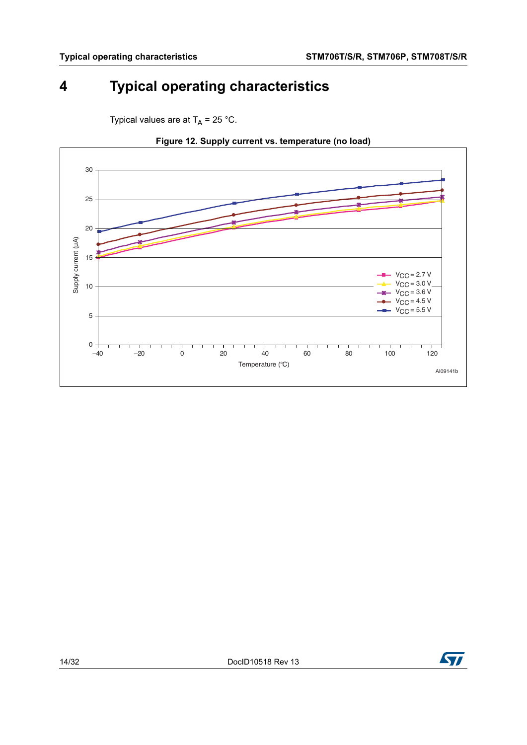## <span id="page-13-0"></span>**4 Typical operating characteristics**

<span id="page-13-1"></span>

Typical values are at  $T_A$  = 25 °C.



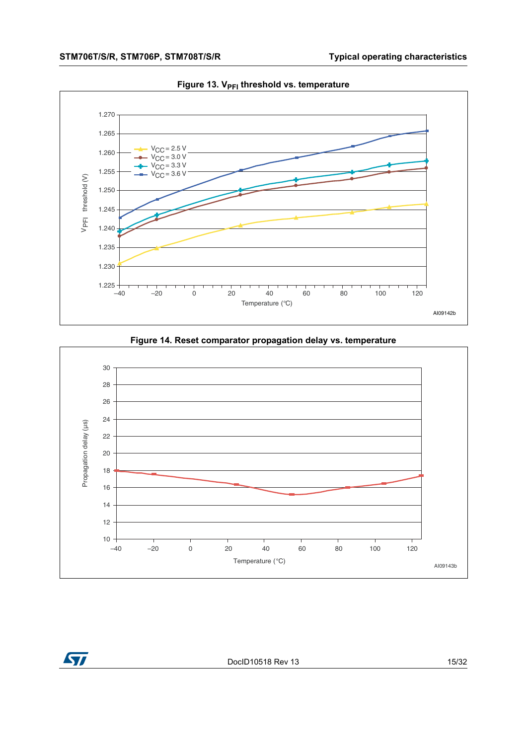<span id="page-14-0"></span>

Figure 13. V<sub>PFI</sub> threshold vs. temperature



<span id="page-14-1"></span>



DocID10518 Rev 13 15/32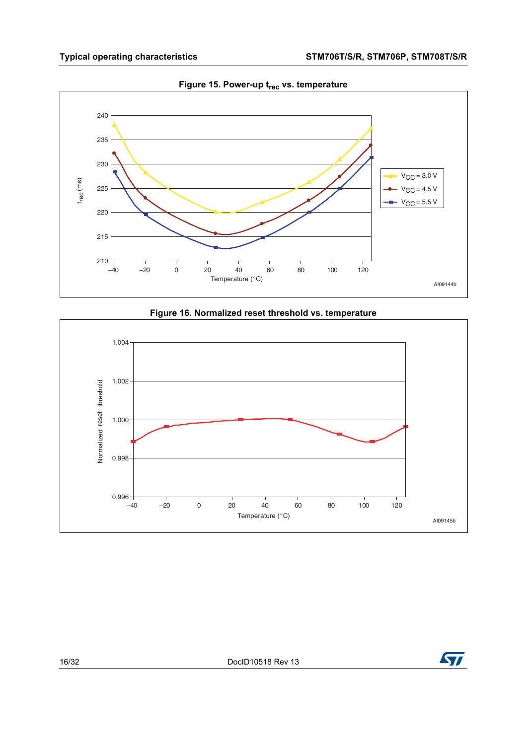<span id="page-15-0"></span>

**Figure 15. Power-up t<sub>rec</sub> vs. temperature** 



<span id="page-15-1"></span>

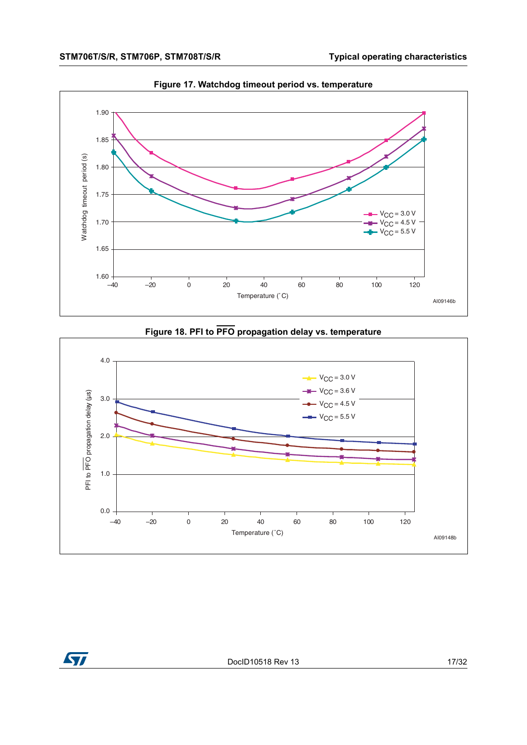<span id="page-16-0"></span>

**Figure 17. Watchdog timeout period vs. temperature**

#### **Figure 18. PFI to PFO propagation delay vs. temperature**

<span id="page-16-1"></span>



DocID10518 Rev 13 17/32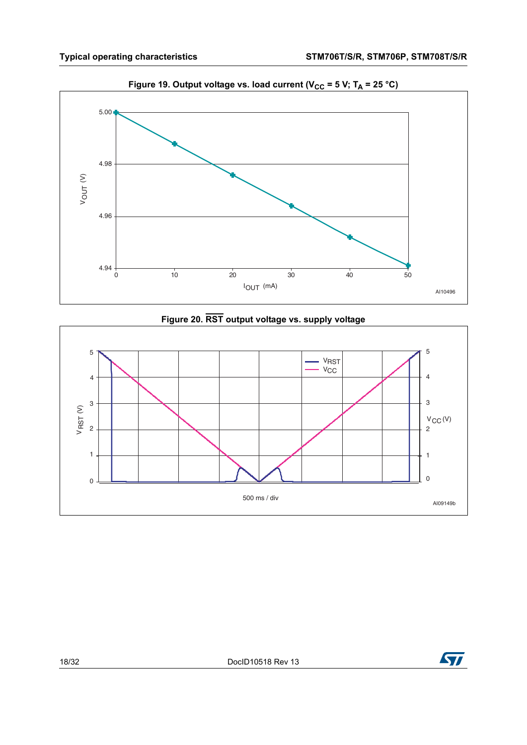<span id="page-17-0"></span>

Figure 19. Output voltage vs. load current ( $V_{CC}$  = 5 V; T<sub>A</sub> = 25 °C)



<span id="page-17-1"></span>

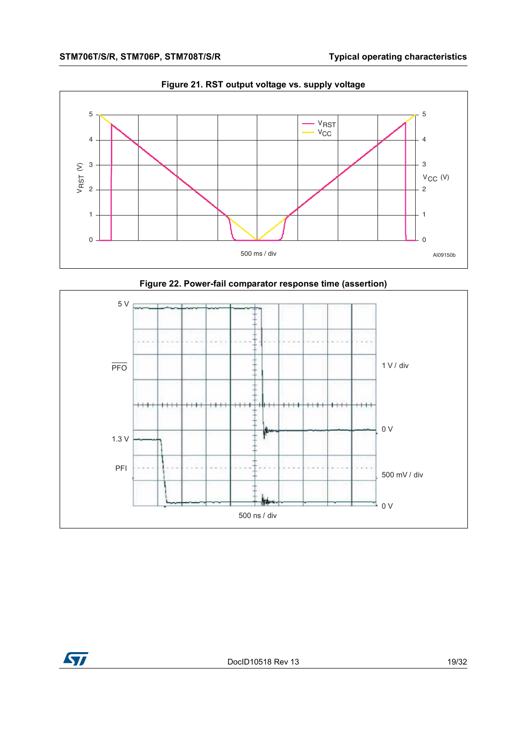<span id="page-18-0"></span>

**Figure 21. RST output voltage vs. supply voltage**



<span id="page-18-1"></span>

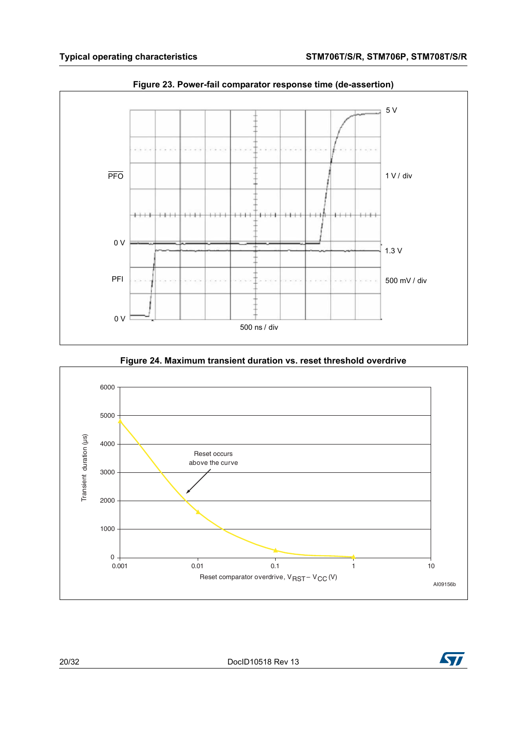<span id="page-19-0"></span>

**Figure 23. Power-fail comparator response time (de-assertion)**

<span id="page-19-1"></span>

**Figure 24. Maximum transient duration vs. reset threshold overdrive**

20/32 DocID10518 Rev 13

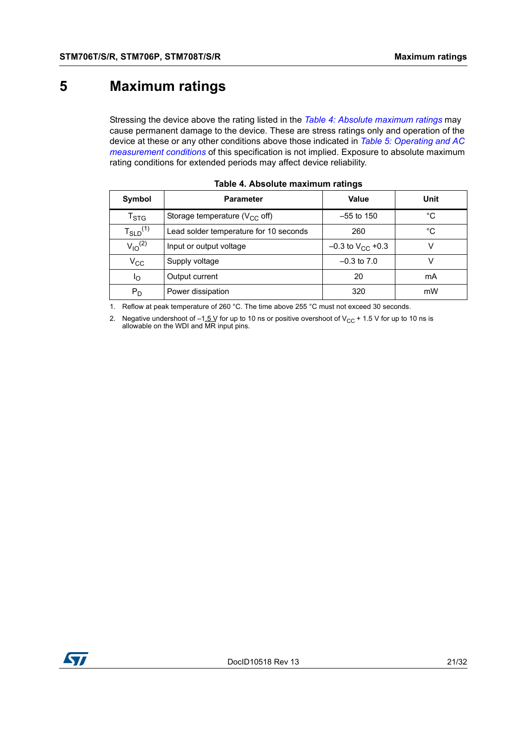## <span id="page-20-0"></span>**5 Maximum ratings**

Stressing the device above the rating listed in the *Table [4: Absolute maximum ratings](#page-20-1)* may cause permanent damage to the device. These are stress ratings only and operation of the device at these or any other conditions above those indicated in *Table [5: Operating and AC](#page-21-1)  [measurement conditions](#page-21-1)* of this specification is not implied. Exposure to absolute maximum rating conditions for extended periods may affect device reliability.

<span id="page-20-1"></span>

| Symbol                      | <b>Parameter</b>                       | Value                   | Unit |
|-----------------------------|----------------------------------------|-------------------------|------|
| $\mathsf{T}_{\textsf{STG}}$ | Storage temperature ( $V_{CC}$ off)    | $-55$ to 150            | °C   |
| $T_{SLD}^{(1)}$             | Lead solder temperature for 10 seconds | 260                     | °C   |
| $V_{10}^{(2)}$              | Input or output voltage                | $-0.3$ to $V_{CC}$ +0.3 |      |
| $\rm v_{cc}$                | Supply voltage                         | $-0.3$ to $7.0$         |      |
| Ιo                          | Output current                         | 20                      | mA   |
| $P_D$                       | Power dissipation                      | 320                     | mW   |

|  |  |  | Table 4. Absolute maximum ratings |  |
|--|--|--|-----------------------------------|--|
|--|--|--|-----------------------------------|--|

1. Reflow at peak temperature of 260 °C. The time above 255 °C must not exceed 30 seconds.

2. Negative undershoot of  $-1.5$  V for up to 10 ns or positive overshoot of V<sub>CC</sub> + 1.5 V for up to 10 ns is allowable on the WDI and MR input pins.

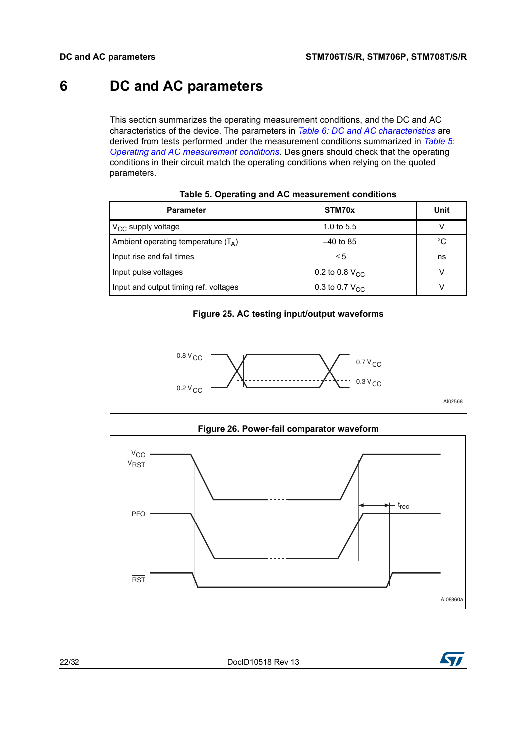## <span id="page-21-0"></span>**6 DC and AC parameters**

This section summarizes the operating measurement conditions, and the DC and AC characteristics of the device. The parameters in *Table [6: DC and AC characteristics](#page-23-0)* are derived from tests performed under the measurement conditions summarized in *[Table](#page-21-1) 5: [Operating and AC measurement conditions](#page-21-1)*. Designers should check that the operating conditions in their circuit match the operating conditions when relying on the quoted parameters.

<span id="page-21-1"></span>

| <b>Parameter</b>                      | STM70x                     | Unit |
|---------------------------------------|----------------------------|------|
| $V_{CC}$ supply voltage               | 1.0 to $5.5$               | V    |
| Ambient operating temperature $(T_A)$ | $-40$ to 85                | °C   |
| Input rise and fall times             | $\leq 5$                   | ns   |
| Input pulse voltages                  | 0.2 to 0.8 $V_{CC}$        |      |
| Input and output timing ref. voltages | 0.3 to 0.7 $V_{\text{CC}}$ |      |

|  |  |  |  | Table 5. Operating and AC measurement conditions |  |
|--|--|--|--|--------------------------------------------------|--|
|--|--|--|--|--------------------------------------------------|--|

#### **Figure 25. AC testing input/output waveforms**

<span id="page-21-2"></span>



<span id="page-21-3"></span>

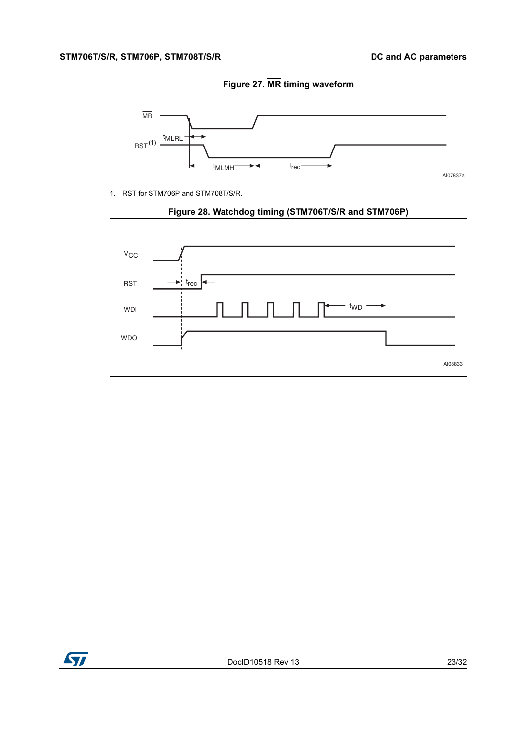<span id="page-22-0"></span>

**Figure 27. MR timing waveform**

1. RST for STM706P and STM708T/S/R.

<span id="page-22-1"></span>

#### **Figure 28. Watchdog timing (STM706T/S/R and STM706P)**

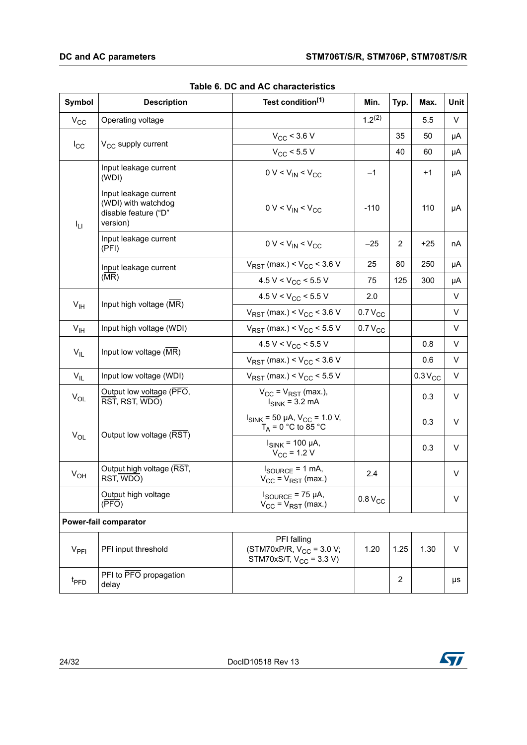<span id="page-23-0"></span>

| Symbol           | <b>Description</b>                                                               | Test condition <sup>(1)</sup>                                                | Min.                | Typ.           | Max.        | Unit |
|------------------|----------------------------------------------------------------------------------|------------------------------------------------------------------------------|---------------------|----------------|-------------|------|
| $V_{CC}$         | Operating voltage                                                                |                                                                              | $1.2^{(2)}$         |                | 5.5         | V    |
|                  |                                                                                  | $V_{CC}$ < 3.6 V                                                             |                     | 35             | 50          | μA   |
| $I_{\rm CC}$     | V <sub>CC</sub> supply current                                                   | $V_{CC}$ < 5.5 V                                                             |                     | 40             | 60          | μA   |
|                  | Input leakage current<br>(WDI)                                                   | $0 V < V_{IN} < V_{CC}$                                                      | $-1$                |                | $+1$        | μA   |
| ŀц               | Input leakage current<br>(WDI) with watchdog<br>disable feature ("D"<br>version) | $0 V < V_{IN} < V_{CC}$                                                      | $-110$              |                | 110         | μA   |
|                  | Input leakage current<br>(PFI)                                                   | $0 V < V_{IN} < V_{CC}$                                                      | $-25$               | $\overline{2}$ | $+25$       | nA   |
|                  | Input leakage current                                                            | $V_{RST}$ (max.) < $V_{CC}$ < 3.6 V                                          | 25                  | 80             | 250         | μA   |
|                  | (MR)                                                                             | 4.5 V < $V_{CC}$ < 5.5 V                                                     | 75                  | 125            | 300         | μA   |
| V <sub>IH</sub>  |                                                                                  | 4.5 V < $V_{CC}$ < 5.5 V                                                     | 2.0                 |                |             | V    |
|                  | Input high voltage (MR)                                                          | $V_{RST}$ (max.) < $V_{CC}$ < 3.6 V                                          | $0.7 V_{CC}$        |                |             | V    |
| V <sub>IH</sub>  | Input high voltage (WDI)                                                         | $V_{RST}$ (max.) < $V_{CC}$ < 5.5 V                                          | 0.7 V <sub>CC</sub> |                |             | V    |
|                  | Input low voltage (MR)                                                           | 4.5 V < $V_{CC}$ < 5.5 V                                                     |                     |                | 0.8         | V    |
| $V_{IL}$         |                                                                                  | $V_{RST}$ (max.) < $V_{CC}$ < 3.6 V                                          |                     |                | 0.6         | V    |
| $V_{IL}$         | Input low voltage (WDI)                                                          | $V_{RST}$ (max.) < $V_{CC}$ < 5.5 V                                          |                     |                | $0.3V_{CC}$ | V    |
| $V_{OL}$         | Output low voltage (PFO,<br>RST, RST, WDO)                                       | $V_{CC} = V_{RST}$ (max.),<br>$I_{SINK}$ = 3.2 mA                            |                     |                | 0.3         | V    |
|                  | Output low voltage (RST)                                                         | $I_{SINK}$ = 50 µA, $V_{CC}$ = 1.0 V,<br>$T_A = 0$ °C to 85 °C               |                     |                | 0.3         | V    |
| $V_{OL}$         |                                                                                  | $I_{SINK}$ = 100 µA,<br>$V_{CC}$ = 1.2 V                                     |                     |                | 0.3         | V    |
| $V_{OH}$         | Output high voltage (RST,<br>RST, WDO)                                           | $I_{\text{SOLIRCF}} = 1 \text{ mA}$<br>$V_{CC}$ = $V_{RST}$ (max.)           | 2.4                 |                |             | V    |
|                  | Output high voltage<br>$(\overline{PFO})$                                        | $I_{\text{SOURCE}}$ = 75 µA,<br>$V_{CC} = V_{RST}$ (max.)                    | 0.8 V <sub>CC</sub> |                |             | V    |
|                  | Power-fail comparator                                                            |                                                                              |                     |                |             |      |
| $V_{\text{PFI}}$ | PFI input threshold                                                              | PFI falling<br>(STM70xP/R, $V_{CC}$ = 3.0 V;<br>STM70xS/T, $V_{CC}$ = 3.3 V) | 1.20                | 1.25           | 1.30        | V    |
| t <sub>PFD</sub> | PFI to PFO propagation<br>delay                                                  |                                                                              |                     | $\overline{2}$ |             | μs   |

#### **Table 6. DC and AC characteristics**

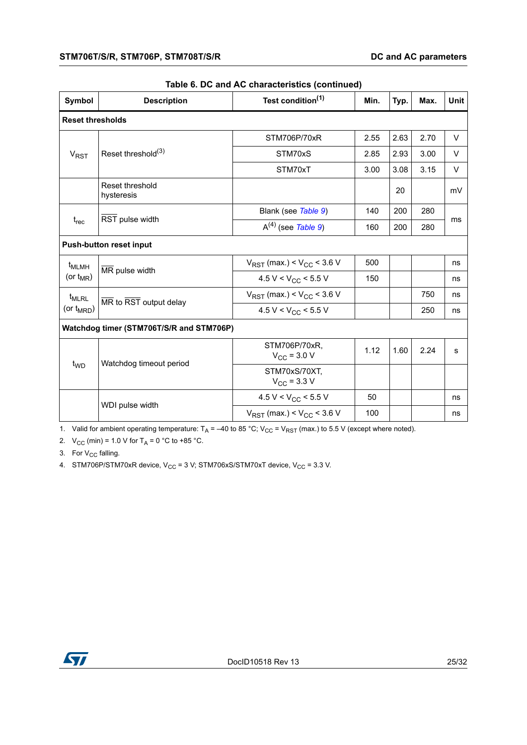| Symbol                                   | <b>Description</b>             | Test condition <sup>(1)</sup>            | Min. | Typ. | Max. | <b>Unit</b> |  |
|------------------------------------------|--------------------------------|------------------------------------------|------|------|------|-------------|--|
| <b>Reset thresholds</b>                  |                                |                                          |      |      |      |             |  |
|                                          |                                | STM706P/70xR                             | 2.55 | 2.63 | 2.70 | V           |  |
| $V_{RST}$                                | Reset threshold <sup>(3)</sup> | STM70xS                                  | 2.85 | 2.93 | 3.00 | V           |  |
|                                          |                                | STM70xT                                  | 3.00 | 3.08 | 3.15 | V           |  |
|                                          | Reset threshold<br>hysteresis  |                                          |      | 20   |      | mV          |  |
|                                          | RST pulse width                | Blank (see Table 9)                      | 140  | 200  | 280  | ms          |  |
| $t_{rec}$                                |                                | $A^{(4)}$ (see Table 9)                  | 160  | 200  | 280  |             |  |
| <b>Push-button reset input</b>           |                                |                                          |      |      |      |             |  |
| t <sub>MLMH</sub><br>(or $t_{MR}$ )      | MR pulse width                 | $V_{RST}$ (max.) < $V_{CC}$ < 3.6 V      | 500  |      |      | ns          |  |
|                                          |                                | 4.5 V < $V_{CC}$ < 5.5 V                 | 150  |      |      | ns          |  |
| t <sub>MLRL</sub><br>(or $t_{MRD}$ )     | MR to RST output delay         | $V_{RST}$ (max.) < $V_{CC}$ < 3.6 V      |      |      | 750  | ns          |  |
|                                          |                                | 4.5 V < $V_{CC}$ < 5.5 V                 |      |      | 250  | ns          |  |
| Watchdog timer (STM706T/S/R and STM706P) |                                |                                          |      |      |      |             |  |
| t <sub>WD</sub>                          | Watchdog timeout period        | STM706P/70xR.<br>$V_{\rm CC}$ = 3.0 V    | 1.12 | 1.60 | 2.24 | s           |  |
|                                          |                                | STM70xS/70XT,<br>$V_{\text{CC}}$ = 3.3 V |      |      |      |             |  |
|                                          | WDI pulse width                | 4.5 V < $V_{CC}$ < 5.5 V                 | 50   |      |      | ns          |  |
|                                          |                                | $V_{RST}$ (max.) < $V_{CC}$ < 3.6 V      | 100  |      |      | ns          |  |

#### **Table 6. DC and AC characteristics (continued)**

1. Valid for ambient operating temperature:  $T_A = -40$  to 85 °C; V<sub>CC</sub> = V<sub>RST</sub> (max.) to 5.5 V (except where noted).

2.  $V_{CC}$  (min) = 1.0 V for T<sub>A</sub> = 0 °C to +85 °C.

3. For  $V_{CC}$  falling.

4. STM706P/STM70xR device,  $V_{CC}$  = 3 V; STM706xS/STM70xT device,  $V_{CC}$  = 3.3 V.

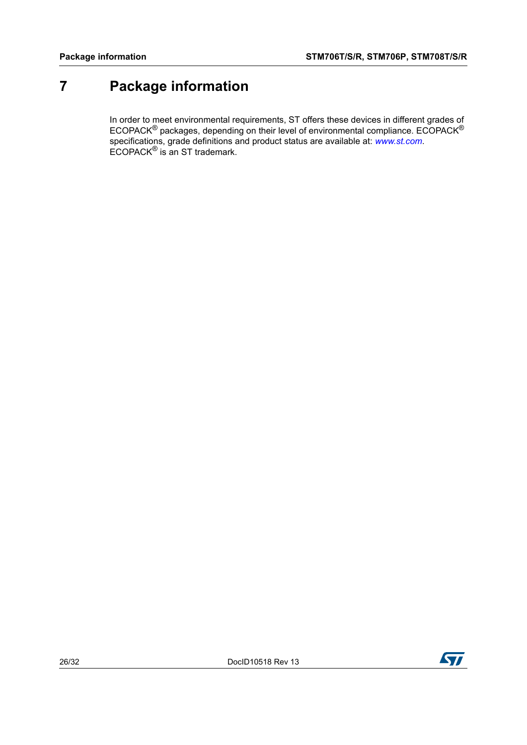## <span id="page-25-0"></span>**7 Package information**

In order to meet environmental requirements, ST offers these devices in different grades of ECOPACK<sup>®</sup> packages, depending on their level of environmental compliance. ECOPACK<sup>®</sup> specifications, grade definitions and product status are available at: *[www.st.com](http://www.st.com)*. ECOPACK® is an ST trademark.

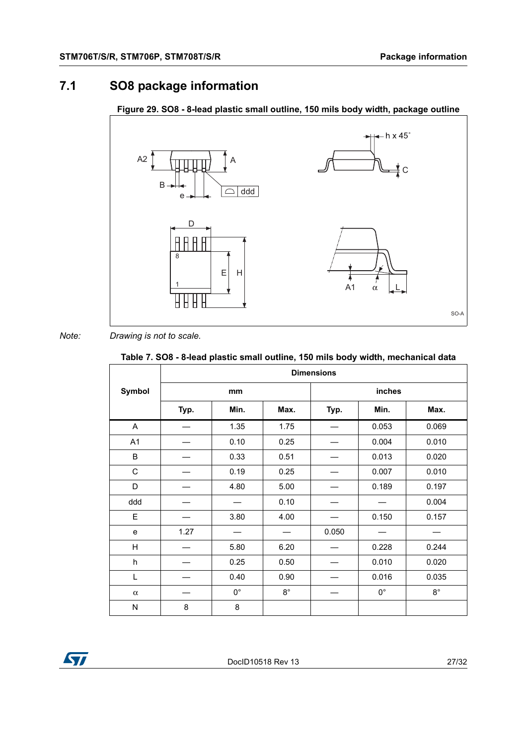### <span id="page-26-0"></span>**7.1 SO8 package information**



#### <span id="page-26-2"></span>**Figure 29. SO8 - 8-lead plastic small outline, 150 mils body width, package outline**

#### *Note: Drawing is not to scale.*

#### <span id="page-26-1"></span>**Table 7. SO8 - 8-lead plastic small outline, 150 mils body width, mechanical data**

|             | <b>Dimensions</b> |             |             |        |             |             |  |
|-------------|-------------------|-------------|-------------|--------|-------------|-------------|--|
| Symbol      | mm                |             |             | inches |             |             |  |
|             | Typ.              | Min.        | Max.        | Typ.   | Min.        | Max.        |  |
| A           |                   | 1.35        | 1.75        |        | 0.053       | 0.069       |  |
| A1          |                   | 0.10        | 0.25        |        | 0.004       | 0.010       |  |
| B           |                   | 0.33        | 0.51        |        | 0.013       | 0.020       |  |
| $\mathsf C$ |                   | 0.19        | 0.25        |        | 0.007       | 0.010       |  |
| D           |                   | 4.80        | 5.00        |        | 0.189       | 0.197       |  |
| ddd         |                   |             | 0.10        |        |             | 0.004       |  |
| E           |                   | 3.80        | 4.00        |        | 0.150       | 0.157       |  |
| e           | 1.27              |             |             | 0.050  |             |             |  |
| H           |                   | 5.80        | 6.20        |        | 0.228       | 0.244       |  |
| h           |                   | 0.25        | 0.50        |        | 0.010       | 0.020       |  |
| Г           |                   | 0.40        | 0.90        |        | 0.016       | 0.035       |  |
| $\alpha$    |                   | $0^{\circ}$ | $8^{\circ}$ |        | $0^{\circ}$ | $8^{\circ}$ |  |
| N           | 8                 | 8           |             |        |             |             |  |

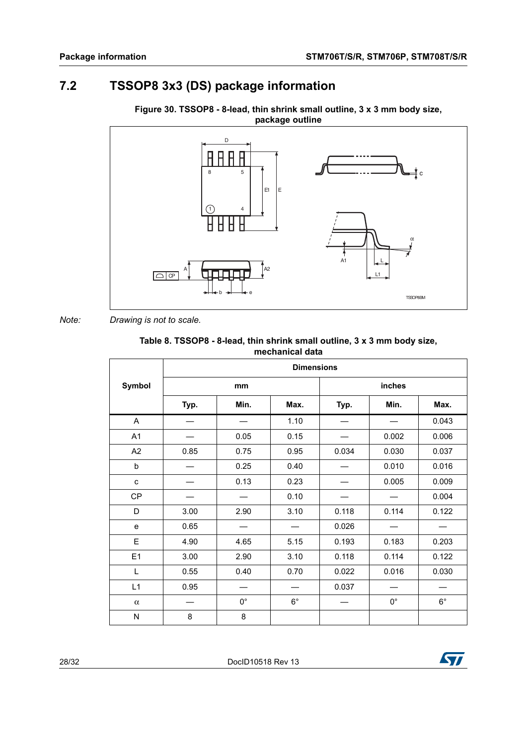### <span id="page-27-0"></span>**7.2 TSSOP8 3x3 (DS) package information**

<span id="page-27-2"></span>



*Note: Drawing is not to scale.*

| Table 8. TSSOP8 - 8-lead, thin shrink small outline, 3 x 3 mm body size, |
|--------------------------------------------------------------------------|
| mechanical data                                                          |

<span id="page-27-1"></span>

|             | <b>Dimensions</b> |             |             |        |             |             |
|-------------|-------------------|-------------|-------------|--------|-------------|-------------|
| Symbol      | mm                |             |             | inches |             |             |
|             | Typ.              | Min.        | Max.        | Typ.   | Min.        | Max.        |
| A           |                   |             | 1.10        |        |             | 0.043       |
| A1          |                   | 0.05        | 0.15        |        | 0.002       | 0.006       |
| A2          | 0.85              | 0.75        | 0.95        | 0.034  | 0.030       | 0.037       |
| b           |                   | 0.25        | 0.40        |        | 0.010       | 0.016       |
| $\mathbf c$ |                   | 0.13        | 0.23        |        | 0.005       | 0.009       |
| <b>CP</b>   |                   |             | 0.10        |        |             | 0.004       |
| D           | 3.00              | 2.90        | 3.10        | 0.118  | 0.114       | 0.122       |
| e           | 0.65              |             |             | 0.026  |             |             |
| E           | 4.90              | 4.65        | 5.15        | 0.193  | 0.183       | 0.203       |
| E1          | 3.00              | 2.90        | 3.10        | 0.118  | 0.114       | 0.122       |
| L           | 0.55              | 0.40        | 0.70        | 0.022  | 0.016       | 0.030       |
| L1          | 0.95              |             |             | 0.037  |             |             |
| $\alpha$    |                   | $0^{\circ}$ | $6^{\circ}$ |        | $0^{\circ}$ | $6^{\circ}$ |
| N           | 8                 | 8           |             |        |             |             |

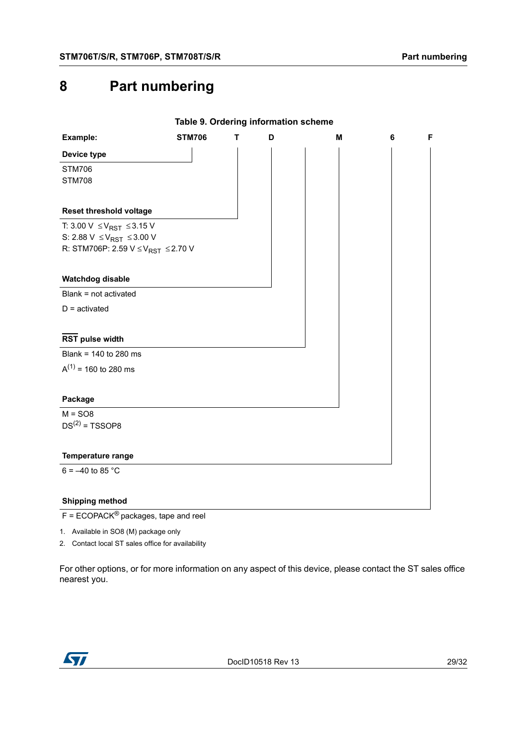## <span id="page-28-0"></span>**8 Part numbering**

<span id="page-28-1"></span>

|                                                 |               |   |   | Table 9. Ordering information scheme |   |   |
|-------------------------------------------------|---------------|---|---|--------------------------------------|---|---|
| Example:                                        | <b>STM706</b> | т | D | M                                    | 6 | F |
| Device type                                     |               |   |   |                                      |   |   |
| <b>STM706</b>                                   |               |   |   |                                      |   |   |
| <b>STM708</b>                                   |               |   |   |                                      |   |   |
|                                                 |               |   |   |                                      |   |   |
| Reset threshold voltage                         |               |   |   |                                      |   |   |
| T: 3.00 V $\leq$ V <sub>RST</sub> $\leq$ 3.15 V |               |   |   |                                      |   |   |
| S: 2.88 V $\leq$ V <sub>RST</sub> $\leq$ 3.00 V |               |   |   |                                      |   |   |
| R: STM706P: 2.59 $V \leq V_{RST} \leq 2.70 V$   |               |   |   |                                      |   |   |
|                                                 |               |   |   |                                      |   |   |
| Watchdog disable                                |               |   |   |                                      |   |   |
| Blank = not activated                           |               |   |   |                                      |   |   |
| $D =$ activated                                 |               |   |   |                                      |   |   |
|                                                 |               |   |   |                                      |   |   |
| <b>RST pulse width</b>                          |               |   |   |                                      |   |   |
| Blank = 140 to 280 ms                           |               |   |   |                                      |   |   |
| $A^{(1)}$ = 160 to 280 ms                       |               |   |   |                                      |   |   |
|                                                 |               |   |   |                                      |   |   |
| Package                                         |               |   |   |                                      |   |   |
| $M = SO8$                                       |               |   |   |                                      |   |   |
| $DS(2) = TSSOP8$                                |               |   |   |                                      |   |   |
|                                                 |               |   |   |                                      |   |   |
| <b>Temperature range</b>                        |               |   |   |                                      |   |   |
| $6 = -40$ to 85 °C                              |               |   |   |                                      |   |   |
|                                                 |               |   |   |                                      |   |   |
| <b>Shipping method</b>                          |               |   |   |                                      |   |   |

F = ECOPACK® packages, tape and reel

1. Available in SO8 (M) package only

2. Contact local ST sales office for availability

For other options, or for more information on any aspect of this device, please contact the ST sales office nearest you.

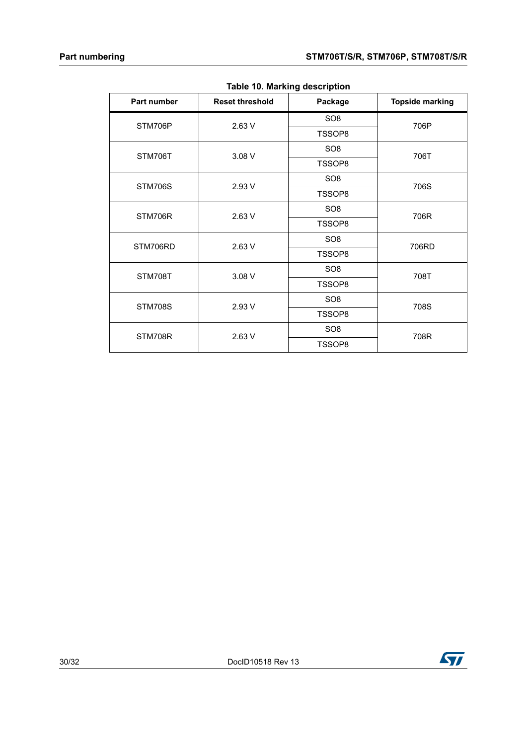<span id="page-29-0"></span>

| Part number    | <b>Reset threshold</b> | Package         | <b>Topside marking</b>                        |  |
|----------------|------------------------|-----------------|-----------------------------------------------|--|
| STM706P        | 2.63 V                 | SO <sub>8</sub> |                                               |  |
|                |                        | TSSOP8          |                                               |  |
| STM706T        | 3.08 V                 | SO <sub>8</sub> |                                               |  |
|                |                        | TSSOP8          | 706P<br>706T<br>706S<br>706R<br>706RD<br>708T |  |
| STM706S        |                        | SO <sub>8</sub> |                                               |  |
|                | 2.93 V                 | TSSOP8          |                                               |  |
| STM706R        | 2.63 V                 | SO <sub>8</sub> |                                               |  |
|                |                        | TSSOP8          |                                               |  |
| STM706RD       | 2.63 V                 | SO <sub>8</sub> |                                               |  |
|                |                        | TSSOP8          |                                               |  |
| STM708T        | 3.08 V                 | SO <sub>8</sub> |                                               |  |
|                |                        | TSSOP8          |                                               |  |
| <b>STM708S</b> | 2.93 V                 | SO <sub>8</sub> | 708S                                          |  |
|                |                        | TSSOP8          |                                               |  |
| STM708R        | 2.63 V                 | SO <sub>8</sub> | 708R                                          |  |
|                |                        | TSSOP8          |                                               |  |

**Table 10. Marking description**



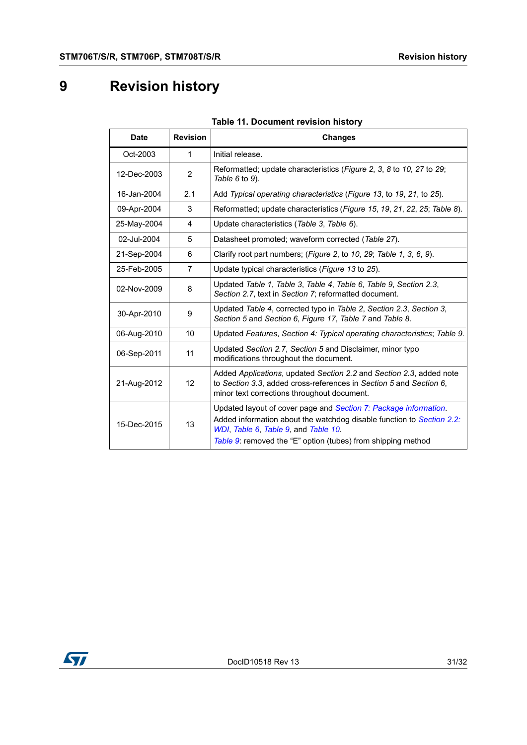# <span id="page-30-0"></span>**9 Revision history**

<span id="page-30-1"></span>

| <b>Date</b> | <b>Revision</b> | <b>Changes</b>                                                                                                                                                                                                                                    |  |
|-------------|-----------------|---------------------------------------------------------------------------------------------------------------------------------------------------------------------------------------------------------------------------------------------------|--|
| Oct-2003    | 1               | Initial release.                                                                                                                                                                                                                                  |  |
| 12-Dec-2003 | $\overline{2}$  | Reformatted; update characteristics (Figure 2, 3, 8 to 10, 27 to 29;<br>Table $6$ to $9$ ).                                                                                                                                                       |  |
| 16-Jan-2004 | 2.1             | Add Typical operating characteristics (Figure 13, to 19, 21, to 25).                                                                                                                                                                              |  |
| 09-Apr-2004 | 3               | Reformatted; update characteristics (Figure 15, 19, 21, 22, 25; Table 8).                                                                                                                                                                         |  |
| 25-May-2004 | 4               | Update characteristics (Table 3, Table 6).                                                                                                                                                                                                        |  |
| 02-Jul-2004 | 5               | Datasheet promoted; waveform corrected (Table 27).                                                                                                                                                                                                |  |
| 21-Sep-2004 | 6               | Clarify root part numbers; (Figure 2, to 10, 29; Table 1, 3, 6, 9).                                                                                                                                                                               |  |
| 25-Feb-2005 | 7               | Update typical characteristics (Figure 13 to 25).                                                                                                                                                                                                 |  |
| 02-Nov-2009 | 8               | Updated Table 1, Table 3, Table 4, Table 6, Table 9, Section 2.3,<br>Section 2.7, text in Section 7; reformatted document.                                                                                                                        |  |
| 30-Apr-2010 | 9               | Updated Table 4, corrected typo in Table 2, Section 2.3, Section 3,<br>Section 5 and Section 6, Figure 17, Table 7 and Table 8.                                                                                                                   |  |
| 06-Aug-2010 | 10              | Updated Features, Section 4: Typical operating characteristics; Table 9.                                                                                                                                                                          |  |
| 06-Sep-2011 | 11              | Updated Section 2.7, Section 5 and Disclaimer, minor typo<br>modifications throughout the document.                                                                                                                                               |  |
| 21-Aug-2012 | 12              | Added Applications, updated Section 2.2 and Section 2.3, added note<br>to Section 3.3, added cross-references in Section 5 and Section 6,<br>minor text corrections throughout document.                                                          |  |
| 15-Dec-2015 | 13              | Updated layout of cover page and Section 7: Package information.<br>Added information about the watchdog disable function to Section 2.2:<br>WDI, Table 6, Table 9, and Table 10.<br>Table 9: removed the "E" option (tubes) from shipping method |  |